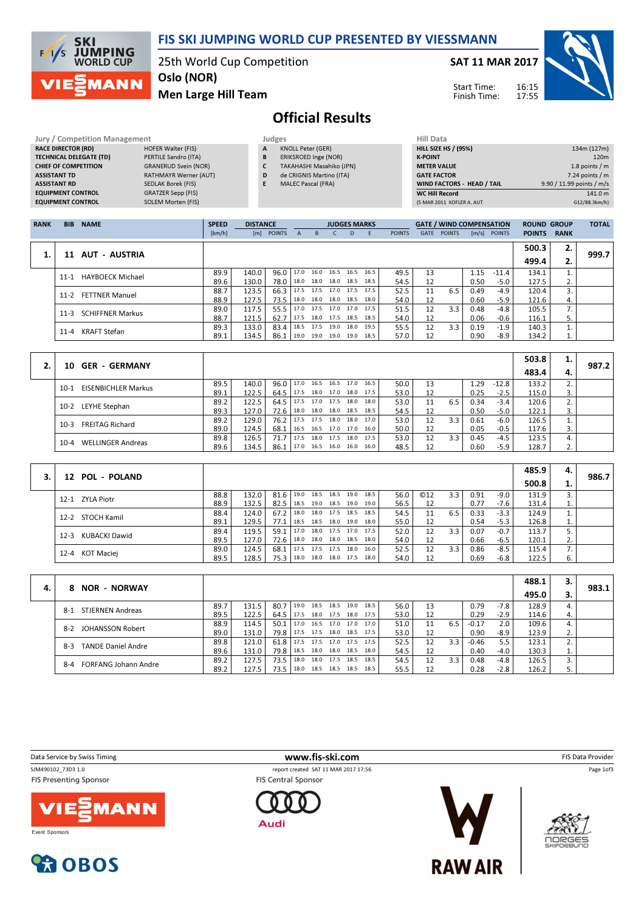

SAT 11 MAR 2017

Start Time: Finish Time:



Men Large Hill Team

# Official Results

| <b>Jury / Competition Management</b> |                              |   | Judges                    | <b>Hill Data</b>   |
|--------------------------------------|------------------------------|---|---------------------------|--------------------|
| <b>RACE DIRECTOR (RD)</b>            | <b>HOFER Walter (FIS)</b>    | A | <b>KNOLL Peter (GER)</b>  | <b>HILL SIZE H</b> |
| <b>TECHNICAL DELEGATE (TD)</b>       | PERTILE Sandro (ITA)         | B | ERIKSROED Inge (NOR)      | <b>K-POINT</b>     |
| <b>CHIEF OF COMPETITION</b>          | <b>GRANERUD Svein (NOR)</b>  |   | TAKAHASHI Masahiko (JPN)  | <b>METER VAI</b>   |
| <b>ASSISTANT TD</b>                  | <b>RATHMAYR Werner (AUT)</b> | D | de CRIGNIS Martino (ITA)  | <b>GATE FACT</b>   |
| <b>ASSISTANT RD</b>                  | <b>SEDLAK Borek (FIS)</b>    | E | <b>MALEC Pascal (FRA)</b> | <b>WIND FACT</b>   |
| <b>EQUIPMENT CONTROL</b>             | <b>GRATZER Sepp (FIS)</b>    |   |                           | <b>WC Hill Reg</b> |
| <b>EQUIPMENT CONTROL</b>             | SOLEM Morten (FIS)           |   |                           | (5 MAR 2011        |

MANN

11:

| Hill Data                   |                           |
|-----------------------------|---------------------------|
| <b>HILL SIZE HS / (95%)</b> | 134m (127m)               |
| <b>K-POINT</b>              | 120 <sub>m</sub>          |
| <b>METER VALUE</b>          | 1.8 points $/m$           |
| <b>GATE FACTOR</b>          | $7.24$ points / m         |
| WIND FACTORS - HEAD / TAIL  | 9.90 / 11.99 points / m/s |
| <b>WC Hill Record</b>       | 141.0 m                   |
| (5 MAR 2011 KOFLER A. AUT   | G12/88.3km/h)             |
|                             |                           |

| <b>RANK</b> | <b>BIB</b> | <b>NAME</b>             | <b>SPEED</b> | <b>DISTANCE</b> |            |      |                          | <b>JUDGES MARKS</b> |      |      |               |             | <b>GATE / WIND COMPENSATION</b> |      |              | <b>ROUND GROUP</b> |             | <b>TOTAL</b> |
|-------------|------------|-------------------------|--------------|-----------------|------------|------|--------------------------|---------------------|------|------|---------------|-------------|---------------------------------|------|--------------|--------------------|-------------|--------------|
|             |            |                         | [km/h]       |                 | [m] POINTS |      | B.                       |                     | D.   |      | <b>POINTS</b> | <b>GATE</b> | <b>POINTS</b>                   |      | [m/s] POINTS | <b>POINTS</b>      | <b>RANK</b> |              |
|             |            |                         |              |                 |            |      |                          |                     |      |      |               |             |                                 |      |              | 500.3              | 2.          |              |
|             | 11         | AUT - AUSTRIA           |              |                 |            |      |                          |                     |      |      |               |             |                                 |      |              | 499.4              | 2.          | 999.7        |
|             | $11 - 1$   | <b>HAYBOECK Michael</b> | 89.9         | 140.0           | 96.0       | 17.0 | 16.0 16.5 16.5           |                     |      | 16.5 | 49.5          | 13          |                                 | 1.15 | $-11.4$      | 134.1              |             |              |
|             |            |                         | 89.6         | 130.0           | 78.0       |      | 18.0 18.0 18.0 18.5      |                     |      | 18.5 | 54.5          | 12          |                                 | 0.50 | $-5.0$       | 127.5              | z.          |              |
|             | $11-2$     | <b>FETTNER Manuel</b>   | 88.7         | 123.5           | 66.3       |      | 17.5 17.5 17.0           |                     | 17.5 | 17.5 | 52.5          | 11          | 6.5                             | 0.49 | -4.9         | 120.4              | 3.          |              |
|             |            |                         | 88.9         | 127.5           | 73.5       |      | 18.0 18.0 18.0 18.5      |                     |      | 18.0 | 54.0          | 12          |                                 | 0.60 | $-5.9$       | 121.6              | 4.          |              |
|             | $11-3$     | <b>SCHIFFNER Markus</b> | 89.0         | 117.5           | 55.5       |      | 17.0 17.5 17.0 17.0 17.5 |                     |      |      | 51.5          | 12          | 3.3                             | 0.48 | -4.8         | 105.5              | 7.          |              |
|             |            |                         | 88.7         | 121.5           | 62.7       | 17.5 | 18.0 17.5 18.5           |                     |      | 18.5 | 54.0          | 12          |                                 | 0.06 | $-0.6$       | 116.1              | 5.          |              |
|             | $11 - 4$   | KRAFT Stefan            | 89.3         | 133.0           | 83.4       | 18.5 | 17.5 19.0                |                     | 18.0 | 19.5 | 55.5          | 12          | 3.3                             | 0.19 | $-1.9$       | 140.3              |             |              |
|             |            |                         | 89.1         | 134.5           | 86.1       | 19.0 | 19.0 19.0                |                     | 19.0 | 18.5 | 57.0          | 12          |                                 | 0.90 | -8.9         | 134.2              | τ.          |              |

|                                      |      |       |      |           |                     |      |                |      |      |    |     |      |         | 503.8 | ∸. |       |
|--------------------------------------|------|-------|------|-----------|---------------------|------|----------------|------|------|----|-----|------|---------|-------|----|-------|
| <b>GER - GERMANY</b><br>10.          |      |       |      |           |                     |      |                |      |      |    |     |      |         | 483.4 | 4. | 987.2 |
| <b>EISENBICHLER Markus</b><br>$10-1$ | 89.5 | 140.0 | 96.0 | 17.0      | 16.5                | 16.5 | 17.0 16.5      |      | 50.0 | 13 |     | 1.29 | $-12.8$ | 133.2 |    |       |
|                                      | 89.1 | 122.5 | 64.5 | 17.5      | 18.0 17.0 18.0 17.5 |      |                |      | 53.0 |    |     | 0.25 | $-2.5$  | 115.0 |    |       |
| LEYHE Stephan<br>$10-2$              | 89.2 | 122.5 | 64.5 |           | 17.5 17.0 17.5 18.0 |      |                | 18.0 | 53.0 |    | 6.5 | 0.34 | $-3.4$  | 120.6 |    |       |
|                                      | 89.3 | 127.0 | 72.6 | 18.0 18.0 |                     |      | 18.0 18.5 18.5 |      | 54.5 |    |     | 0.50 | $-5.0$  | 122.1 | 3. |       |
| <b>FREITAG Richard</b><br>$10-3$     | 89.2 | 129.0 | 76.2 | 17.5      | 17.5                | 18.0 | 18.0 17.0      |      | 53.0 | 12 | 3.3 | 0.61 | $-6.0$  | 126.5 |    |       |
|                                      | 89.0 | 124.5 | 68.1 | 16.5 16.5 |                     |      | 17.0 17.0 16.0 |      | 50.0 |    |     | 0.05 | $-0.5$  | 117.6 |    |       |
|                                      | 89.8 | 126.5 | 71.7 | 17.5      | 18.0                | 17.5 | 18.0 17.5      |      | 53.0 | 12 | 3.3 | 0.45 | $-4.5$  | 123.5 |    |       |
| <b>WELLINGER Andreas</b><br>$10 - 4$ | 89.6 | 134.5 | 86.1 | 17.0      | 16.5                | 16.0 | 16.0           | 16.0 | 48.5 |    |     | 0.60 | $-5.9$  | 128.7 | ۷. |       |

|                           |      |       |               |      |                     |      |        |            |     |      |        | 485.9 | 4. |       |
|---------------------------|------|-------|---------------|------|---------------------|------|--------|------------|-----|------|--------|-------|----|-------|
| 12 POL - POLAND           |      |       |               |      |                     |      |        |            |     |      |        | 500.8 |    | 986.7 |
| 12-1 ZYLA Piotr           | 88.8 | 132.0 | $81.6$   19.0 | 18.5 | 18.5 19.0           | 18.5 | 56.0   | <b>©12</b> | 3.3 | 0.91 | $-9.0$ | 131.9 |    |       |
|                           | 88.9 | 132.5 | $82.5$ 18.5   |      | 19.0 18.5 19.0      | 19.0 | 56.5   |            |     | 0.77 | -7.6   | 131.4 | ⊥. |       |
| 12-2 STOCH Kamil          | 88.4 | 124.0 | $67.2$   18.0 |      | 18.0 17.5 18.5      | 18.5 | 54.5   | 11         | 6.5 | 0.33 | $-3.3$ | 124.9 |    |       |
|                           | 89.1 | 129.5 | 77.1   18.5   |      | 18.5 18.0 19.0      | 18.0 | 55.0   |            |     | 0.54 | $-5.3$ | 126.8 |    |       |
| KUBACKI Dawid<br>$12 - 3$ | 89.4 | 119.5 | $59.1$   17.0 |      | 18.0 17.5 17.0 17.5 |      | 52.0   | 12         | 3.3 | 0.07 | $-0.7$ | 113.7 |    |       |
|                           | 89.5 | 127.0 | 72.6   18.0   |      | 18.0 18.0 18.5      | 18.0 | 54.0   |            |     | 0.66 | $-6.5$ | 120.1 | 2. |       |
| 12-4 KOT Maciej           | 89.0 | 124.5 | $68.1$   17.5 |      | 17.5 17.5 18.0      | 16.0 | 52.5   | 12         | 3.3 | 0.86 | $-8.5$ | 115.4 |    |       |
|                           | 89.5 | 128.5 | 75.3 18.0     |      | 18.0 18.0 17.5 18.0 |      | 54.0 l |            |     | 0.69 | $-6.8$ | 122.5 | 6. |       |

|    |                                    |      |       |             |      |           |                |      |      |      |    |     |         |        | 488.1 | 3. |       |
|----|------------------------------------|------|-------|-------------|------|-----------|----------------|------|------|------|----|-----|---------|--------|-------|----|-------|
| 4. | <b>NOR - NORWAY</b><br>8.          |      |       |             |      |           |                |      |      |      |    |     |         |        | 495.0 | 3. | 983.1 |
|    | <b>STJERNEN Andreas</b><br>$8-1$   | 89.7 | 131.5 | 80.7        | 19.0 |           | 18.5 18.5 19.0 |      | 18.5 | 56.0 | 13 |     | 0.79    | -7.8   | 128.9 | 4. |       |
|    |                                    | 89.5 | 122.5 | 64.5        | 17.5 |           | 18.0 17.5 18.0 |      | 17.5 | 53.0 | 12 |     | 0.29    | $-2.9$ | 114.6 | 4. |       |
|    | $8-2$                              | 88.9 | 114.5 | 50.1        | 17.0 |           | 16.5 17.0 17.0 |      | 17.0 | 51.0 | 11 | 6.5 | $-0.17$ | 2.0    | 109.6 | 4. |       |
|    | JOHANSSON Robert                   | 89.0 | 131.0 | 79.8        | 17.5 |           | 17.5 18.0 18.5 |      | 17.5 | 53.0 | 12 |     | 0.90    | -8.9   | 123.9 | z. |       |
|    | <b>TANDE Daniel Andre</b><br>$8-3$ | 89.8 | 121.0 | 61.8        | 17.5 | 17.5      | 17.0 17.5      |      | 17.5 | 52.5 | 12 | 3.3 | $-0.46$ | 5.5    | 123.1 |    |       |
|    |                                    | 89.6 | 131.0 | 79.8   18.5 |      |           | 18.0 18.0 18.5 |      | 18.0 | 54.5 | 12 |     | 0.40    | $-4.0$ | 130.3 | ⊥. |       |
|    | <b>FORFANG Johann Andre</b>        | 89.2 | 127.5 | 73.5        | 18.0 | 18.0      | 17.5 18.5      |      | 18.5 | 54.5 | 12 | 3.3 | 0.48    | -4.8   | 126.5 |    |       |
|    | $8 - 4$                            | 89.2 | 127.5 | 73.5        | 18.0 | 18.5 18.5 |                | 18.5 | 18.5 | 55.5 | 12 |     | 0.28    | $-2.8$ | 126.2 | 5. |       |

| Data Service by Swiss Timing                        | www.fis-ski.com                                                    | <b>FIS Data Provider</b>    |
|-----------------------------------------------------|--------------------------------------------------------------------|-----------------------------|
| SJM490102_73D3 1.0<br><b>FIS Presenting Sponsor</b> | report created SAT 11 MAR 2017 17:56<br><b>FIS Central Sponsor</b> | Page 1of3                   |
| <b>VIE</b> MANN<br>Event Sponsors                   | Audi                                                               | noeges<br><b>SKIFORBUND</b> |



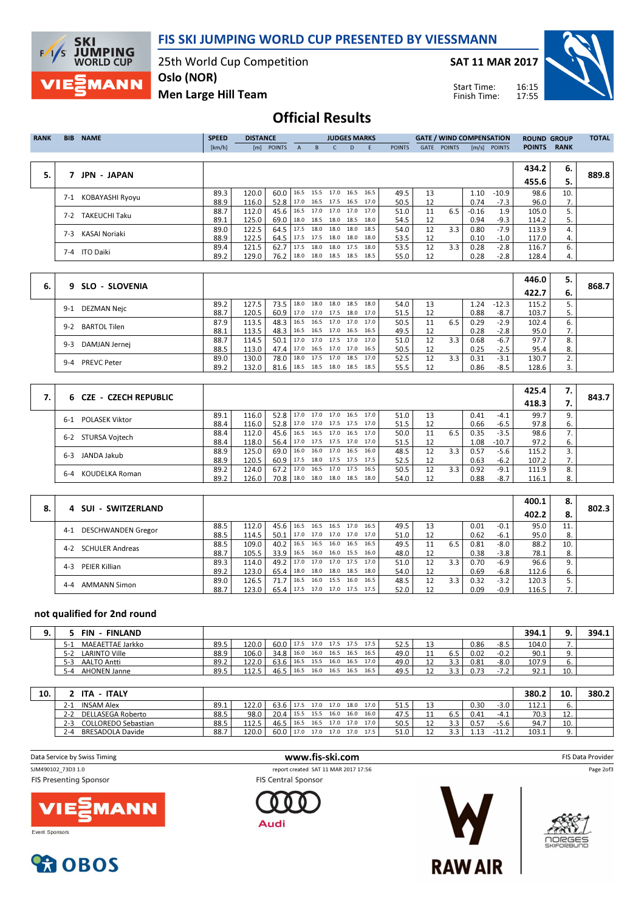

FIS SKI JUMPING WORLD CUP PRESENTED BY VIESSMANN

25th World Cup Competition

SAT 11 MAR 2017

Start Time: Finish Time:



Men Large Hill Team

## Official Results

| <b>RANK</b> | <b>BIB</b> | <b>NAME</b>          | <b>SPEED</b> | <b>DISTANCE</b> |                                 |              |      | <b>JUDGES MARKS</b>      |   |      |               |      | <b>GATE / WIND COMPENSATION</b> |         |                | <b>ROUND GROUP</b> |             | <b>TOTAL</b> |
|-------------|------------|----------------------|--------------|-----------------|---------------------------------|--------------|------|--------------------------|---|------|---------------|------|---------------------------------|---------|----------------|--------------------|-------------|--------------|
|             |            |                      | [km/h]       |                 | [m] POINTS                      | $\mathbf{A}$ | B.   | $\mathsf{C}$             | D | -F   | <b>POINTS</b> | GATE | <b>POINTS</b>                   |         | $[m/s]$ POINTS | <b>POINTS</b>      | <b>RANK</b> |              |
|             |            |                      |              |                 |                                 |              |      |                          |   |      |               |      |                                 |         |                |                    |             |              |
|             |            |                      |              |                 |                                 |              |      |                          |   |      |               |      |                                 |         |                | 434.2              | 6.          |              |
| 5.          |            | <b>JPN - JAPAN</b>   |              |                 |                                 |              |      |                          |   |      |               |      |                                 |         |                | 455.6              | 5.          | 889.8        |
|             | $7 - 1$    | KOBAYASHI Ryoyu      | 89.3         | 120.0           | 60.0   16.5 15.5 17.0 16.5 16.5 |              |      |                          |   |      | 49.5          | 13   |                                 | 1.10    | $-10.9$        | 98.6               | 10.         |              |
|             |            |                      | 88.9         | 116.0           | 52.8                            |              |      | 17.0 16.5 17.5 16.5 17.0 |   |      | 50.5          | 12   |                                 | 0.74    | $-7.3$         | 96.0               | 7.          |              |
|             | $7-2$      | <b>TAKEUCHI Taku</b> | 88.7         | 112.0           | 45.6                            |              |      | 16.5 17.0 17.0 17.0 17.0 |   |      | 51.0          | 11   | 6.5                             | $-0.16$ | 1.9            | 105.0              |             |              |
|             |            |                      | 89.1         | 125.0           | 69.0                            |              |      | 18.0 18.5 18.0 18.5 18.0 |   |      | 54.5          | 12   |                                 | 0.94    | $-9.3$         | 114.2              | 5.          |              |
|             | 7-3        | KASAI Noriaki        | 89.0         | 122.5           | 64.5                            |              |      | 17.5 18.0 18.0 18.0      |   | 18.5 | 54.0          | 12   | 3.3                             | 0.80    | $-7.9$         | 113.9              |             |              |
|             |            |                      | 88.9         | 122.5           | 64.5                            |              |      | 17.5 17.5 18.0 18.0 18.0 |   |      | 53.5          | 12   |                                 | 0.10    | $-1.0$         | 117.0              | 4.          |              |
|             |            | 7-4 ITO Daiki        | 89.4         | 121.5           | 62.7                            | 17.5         | 18.0 | 18.0 17.5                |   | 18.0 | 53.5          | 12   | 3.3                             | 0.28    | $-2.8$         | 116.7              | 6.          |              |
|             |            |                      | 89.2         | 129.0           | 76.2                            |              |      | 18.0 18.0 18.5 18.5 18.5 |   |      | 55.0          | 12   |                                 | 0.28    | $-2.8$         | 128.4              | 4.          |              |
|             |            |                      |              |                 |                                 |              |      |                          |   |      |               |      |                                 |         |                |                    |             |              |

| 6. | 9 SLO - SLOVENIA              |      |       |      |                          |      |      |                |      |      |    |     |      |         | 446.0 | 5. | 868.7 |
|----|-------------------------------|------|-------|------|--------------------------|------|------|----------------|------|------|----|-----|------|---------|-------|----|-------|
|    |                               |      |       |      |                          |      |      |                |      |      |    |     |      |         | 422.7 | 6. |       |
|    | DEZMAN Nejc<br>$9-1$          | 89.2 | 127.5 | 73.5 | 18.0                     | 18.0 | 18.0 | 18.5           | 18.0 | 54.0 | 13 |     | 1.24 | $-12.3$ | 115.2 |    |       |
|    |                               | 88.7 | 120.5 | 60.9 | 17.0 17.0                |      | 17.5 | 18.0 17.0      |      | 51.5 | 12 |     | 0.88 | $-8.7$  | 103.7 |    |       |
|    | <b>BARTOL Tilen</b><br>$9-2$  | 87.9 | 113.5 | 48.3 | 16.5 16.5                |      |      | 17.0 17.0 17.0 |      | 50.5 |    | 6.5 | 0.29 | $-2.9$  | 102.4 | ь. |       |
|    |                               | 88.1 | 113.5 | 48.3 | 16.5 16.5                |      |      | 17.0 16.5 16.5 |      | 49.5 |    |     | 0.28 | $-2.8$  | 95.0  | 7. |       |
|    | DAMJAN Jernej<br>9-3          | 88.7 | 114.5 | 50.1 | 17.0 17.0                |      |      | 17.5 17.0 17.0 |      | 51.0 | 12 | 3.3 | 0.68 | $-6.7$  | 97.7  | 8. |       |
|    |                               | 88.5 | 113.0 | 47.4 | 17.0 16.5 17.0 17.0 16.5 |      |      |                |      | 50.5 |    |     | 0.25 | $-2.5$  | 95.4  | 8. |       |
|    | <b>PREVC Peter</b><br>$9 - 4$ | 89.0 | 130.0 | 78.0 | 18.0                     | 17.5 | 17.0 | 18.5           | 17.0 | 52.5 | 12 | 3.3 | 0.31 | $-3.1$  | 130.7 |    |       |
|    |                               | 89.2 | 132.0 | 81.6 | 18.5 18.5                |      |      | 18.0 18.5 18.5 |      | 55.5 |    |     | 0.86 | $-8.5$  | 128.6 |    |       |

| 6 CZE - CZECH REPUBLIC       |      |       |                   |                          |      |                |      |      |    |     |      |         | 425.4 | 7. | 843.7 |
|------------------------------|------|-------|-------------------|--------------------------|------|----------------|------|------|----|-----|------|---------|-------|----|-------|
|                              |      |       |                   |                          |      |                |      |      |    |     |      |         | 418.3 |    |       |
| <b>POLASEK Viktor</b><br>6-1 | 89.1 | 116.0 | 52.8 17.0         |                          | 17.0 | 17.0 16.5      | 17.0 | 51.0 | 13 |     | 0.41 | $-4.1$  | 99.7  | 9. |       |
|                              | 88.4 | 116.0 | 52.8              | 17.0 17.0 17.5 17.5 17.0 |      |                |      | 51.5 |    |     | 0.66 | $-6.5$  | 97.8  | 6. |       |
| 6-2 STURSA Voitech           | 88.4 | 112.0 | 45.6              | 16.5                     |      | 16.5 17.0 16.5 | 17.0 | 50.0 | 11 | 6.5 | 0.35 | $-3.5$  | 98.6  |    |       |
|                              | 88.4 | 118.0 | 56.4              | 17.0                     |      | 17.5 17.5 17.0 | 17.0 | 51.5 |    |     | .08  | $-10.7$ | 97.2  | 6. |       |
| JANDA Jakub<br>$6 - 3$       | 88.9 | 125.0 | 69.0              | 16.0                     | 16.0 | 17.0 16.5      | 16.0 | 48.5 | 12 | 3.3 | 0.57 | $-5.6$  | 115.2 |    |       |
|                              | 88.9 | 120.5 | 60.9 <sub>1</sub> | 17.5                     |      | 18.0 17.5 17.5 | 17.5 | 52.5 |    |     | 0.63 | $-6.2$  | 107.2 |    |       |
| KOUDELKA Roman<br>$6 - 4$    | 89.2 | 124.0 | 67.2              | 17.0                     | 16.5 | 17.0 17.5      | 16.5 | 50.5 | 12 | 3.3 | 0.92 | $-9.1$  | 111.9 | 8. |       |
|                              | 89.2 | 126.0 | 70.8 l            | 18.0                     | 18.0 | 18.0 18.5      | 18.0 | 54.0 |    |     | 0.88 | $-8.7$  | 116.1 | 8. |       |

|    |                                |      |       |      |      |      |                |                     |      |      |    |     |      |        | 400.1 | 8.  |       |
|----|--------------------------------|------|-------|------|------|------|----------------|---------------------|------|------|----|-----|------|--------|-------|-----|-------|
| 8. | 4 SUI - SWITZERLAND            |      |       |      |      |      |                |                     |      |      |    |     |      |        | 402.2 | 8.  | 802.3 |
|    | DESCHWANDEN Gregor<br>$4-1$    | 88.5 | 112.0 | 45.6 | 16.5 | 16.5 | 16.5 17.0      |                     | 16.5 | 49.5 | 13 |     | 0.01 | $-0.1$ | 95.0  |     |       |
|    |                                | 88.5 | 114.5 | 50.1 | 17.0 |      |                | 17.0 17.0 17.0      | 17.0 | 51.0 | 12 |     | 0.62 | $-6.1$ | 95.0  | 8.  |       |
|    | SCHULER Andreas<br>$4 - 2$     | 88.5 | 109.0 | 40.2 | 16.5 | 16.5 | 16.0           | 16.5                | 16.5 | 49.5 | 11 | 6.5 | 0.81 | $-8.0$ | 88.2  | 10. |       |
|    |                                | 88.7 | 105.5 | 33.9 | 16.5 |      |                | 16.0 16.0 15.5 16.0 |      | 48.0 | 12 |     | 0.38 | $-3.8$ | 78.1  | 8.  |       |
|    | PEIER Killian<br>$4 - 3$       | 89.3 | 114.0 | 49.2 | 17.0 |      | 17.0 17.0 17.5 |                     | 17.0 | 51.0 | 12 | 3.3 | 0.70 | -6.9   | 96.6  | 9.  |       |
|    |                                | 89.2 | 123.0 | 65.4 | 18.0 |      |                | 18.0 18.0 18.5 18.0 |      | 54.0 | 12 |     | 0.69 | -6.8   | 112.6 | 6.  |       |
|    | <b>AMMANN Simon</b><br>$4 - 4$ | 89.0 | 126.5 | 71.7 | 16.5 |      | 16.0 15.5 16.0 |                     | 16.5 | 48.5 | 12 | 3.3 | 0.32 | $-3.2$ | 120.3 |     |       |
|    |                                | 88.7 | 123.0 | 65.4 | 17.5 |      |                | 17.0 17.0 17.5 17.5 |      | 52.0 | 12 |     | 0.09 | $-0.9$ | 116.5 | 7.  |       |

### not qualified for 2nd round

 $\overline{\phantom{a}}$ 

| <b>FIN</b><br><b>FINLAND</b>   |      |       |           |      |      |      |                     |      |      |     |      |        | 394.1 |     | 394.1 |
|--------------------------------|------|-------|-----------|------|------|------|---------------------|------|------|-----|------|--------|-------|-----|-------|
| MAEAETTAE Jarkko<br>$5-1$      | 89.5 | 120.0 | 60.0 17.5 |      |      |      | 17.0 17.5 17.5 17.5 |      | 52.5 |     | 0.86 | $-8.5$ | 104.0 |     |       |
| <b>LARINTO Ville</b><br>$5-2$  | 88.9 | 106.0 | 34.8 16.0 |      |      |      | 16.0 16.5 16.5 16.5 |      | 49.0 | 6.5 | 0.02 | $-0.2$ | 90.1  |     |       |
| $5-3$<br>AALTO Antti           | 89.2 | 122.0 | 63.6      | 16.5 | 15.5 | 16.0 | 16.5                | 17.0 | 49.0 | 3.3 | 0.81 | $-8.0$ | 107.9 | υ.  |       |
| <b>AHONEN Janne</b><br>$5 - 4$ | 89.5 | 112.5 | 46.5      | 16.5 | 16.0 | 16.5 | 16.5                | 16.5 | 49.5 | 3.3 | 0.73 | $-7.2$ | 92.1  | 10. |       |

| 10. | <b>ITALY</b><br><b>ITA</b>            |      |       |      |      |           |      |              |      |          |     |      |         | 380.2 | 10      | 380.2 |
|-----|---------------------------------------|------|-------|------|------|-----------|------|--------------|------|----------|-----|------|---------|-------|---------|-------|
|     | <b>INSAM Alex</b><br>$2 - 1$          | 89.1 | 122.0 | 63.6 | 17.5 | 17.0 17.0 |      | 18.0<br>17.0 |      | <b></b>  |     | 0.30 | $-3.0$  | 112.1 |         |       |
|     | <b>DELLASEGA Roberto</b><br>$2 - 2$   | 88.5 | 98.0  | 20.4 | 15.5 | 15.5      | 16.0 | 16.0<br>16.0 | 47.5 | . .      | 6.5 | 0.41 | $-4.1$  | 70.3  | <b></b> |       |
|     | <b>COLLOREDO Sebastian</b><br>$2 - 3$ | 88.5 | 112.5 | 46.5 | 16.5 | 16.5 17.0 |      | 17.0<br>17.0 | 50.5 | <b>I</b> | 3.3 | 0.57 | $-5.6$  | 94.7  | 10.     |       |
|     | BRESADOLA Davide<br>$7 - 4$           | 88.7 | 120.0 | 60.0 | 17.0 | 17.0 17.0 |      | 17.5<br>17.0 | 51.0 |          |     | 13   | $-11.2$ | 103.1 |         |       |

Data Service by Swiss Timing **WWW.fis-ski.com** FIS Data Provider<br>
FIS Data Provider<br>
FIS Data Provider
FIS Data Provider
FIS Data Provider
FIS Data Provider
FIS Data Provider
FIS Data Provider
FIS Data Provider
FIS Data Pr report created SAT 11 MAR 2017 17:56 Page 2of3**FIS Presenting Sponsor FIS Central Sponsor** 

Audi